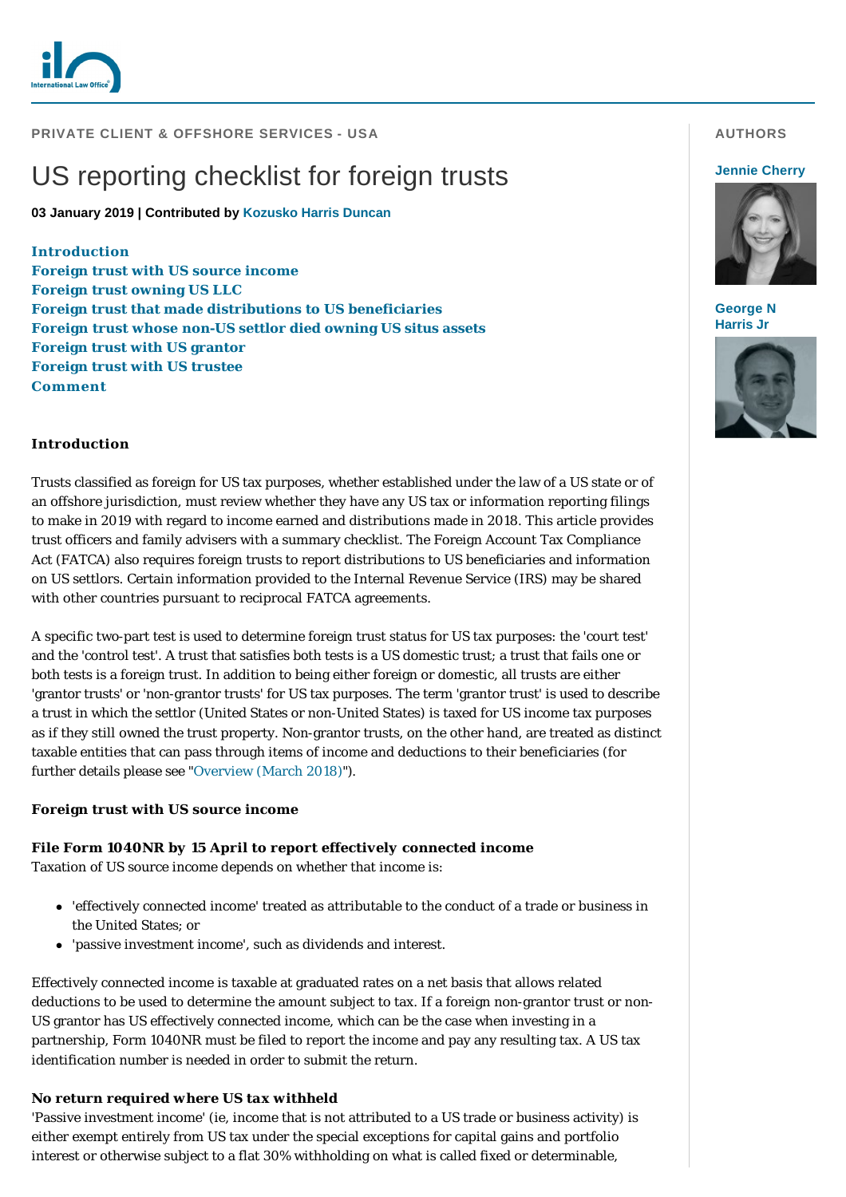

#### **PRIVATE CLIENT & OFFSHORE SERVICES - USA**

# US reporting checklist for foreign trusts

**03 January 2019 | Contributed by [Kozusko Harris Duncan](https://www.internationallawoffice.com/gesr.ashx?l=887DHAT)**

**[Introduction](#page-0-0)**

**[Foreign trust with US source income](#page-0-1) [Foreign trust owning US LLC](#page-1-0) [Foreign trust that made distributions to US beneficiaries](#page-1-1) [Foreign trust whose non-US settlor died owning US situs assets](#page-2-0) [Foreign trust with US grantor](#page-2-1) [Foreign trust with US trustee](#page-3-0) [Comment](#page-3-1)**

## **AUTHORS**

#### **[Jennie Cherry](https://www.internationallawoffice.com/gesr.ashx?l=887DHEY)**



**[George N](https://www.internationallawoffice.com/gesr.ashx?l=887DHF4)  Harris Jr**



#### <span id="page-0-0"></span>**Introduction**

Trusts classified as foreign for US tax purposes, whether established under the law of a US state or of an offshore jurisdiction, must review whether they have any US tax or information reporting filings to make in 2019 with regard to income earned and distributions made in 2018. This article provides trust officers and family advisers with a summary checklist. The Foreign Account Tax Compliance Act (FATCA) also requires foreign trusts to report distributions to US beneficiaries and information on US settlors. Certain information provided to the Internal Revenue Service (IRS) may be shared with other countries pursuant to reciprocal FATCA agreements.

A specific two-part test is used to determine foreign trust status for US tax purposes: the 'court test' and the 'control test'. A trust that satisfies both tests is a US domestic trust; a trust that fails one or both tests is a foreign trust. In addition to being either foreign or domestic, all trusts are either 'grantor trusts' or 'non-grantor trusts' for US tax purposes. The term 'grantor trust' is used to describe a trust in which the settlor (United States or non-United States) is taxed for US income tax purposes as if they still owned the trust property. Non-grantor trusts, on the other hand, are treated as distinct taxable entities that can pass through items of income and deductions to their beneficiaries (for further details please see ["Overview \(March 2018\)"](https://www.internationallawoffice.com/gesr.ashx?l=887DHBL)).

#### <span id="page-0-1"></span>**Foreign trust with US source income**

#### *File Form 1040NR by 15 April to report effectively connected income*

Taxation of US source income depends on whether that income is:

- <sup>l</sup> 'effectively connected income' treated as attributable to the conduct of a trade or business in the United States; or
- 'passive investment income', such as dividends and interest.

Effectively connected income is taxable at graduated rates on a net basis that allows related deductions to be used to determine the amount subject to tax. If a foreign non-grantor trust or non-US grantor has US effectively connected income, which can be the case when investing in a partnership, Form 1040NR must be filed to report the income and pay any resulting tax. A US tax identification number is needed in order to submit the return.

## *No return required where US tax withheld*

'Passive investment income' (ie, income that is not attributed to a US trade or business activity) is either exempt entirely from US tax under the special exceptions for capital gains and portfolio interest or otherwise subject to a flat 30% withholding on what is called fixed or determinable,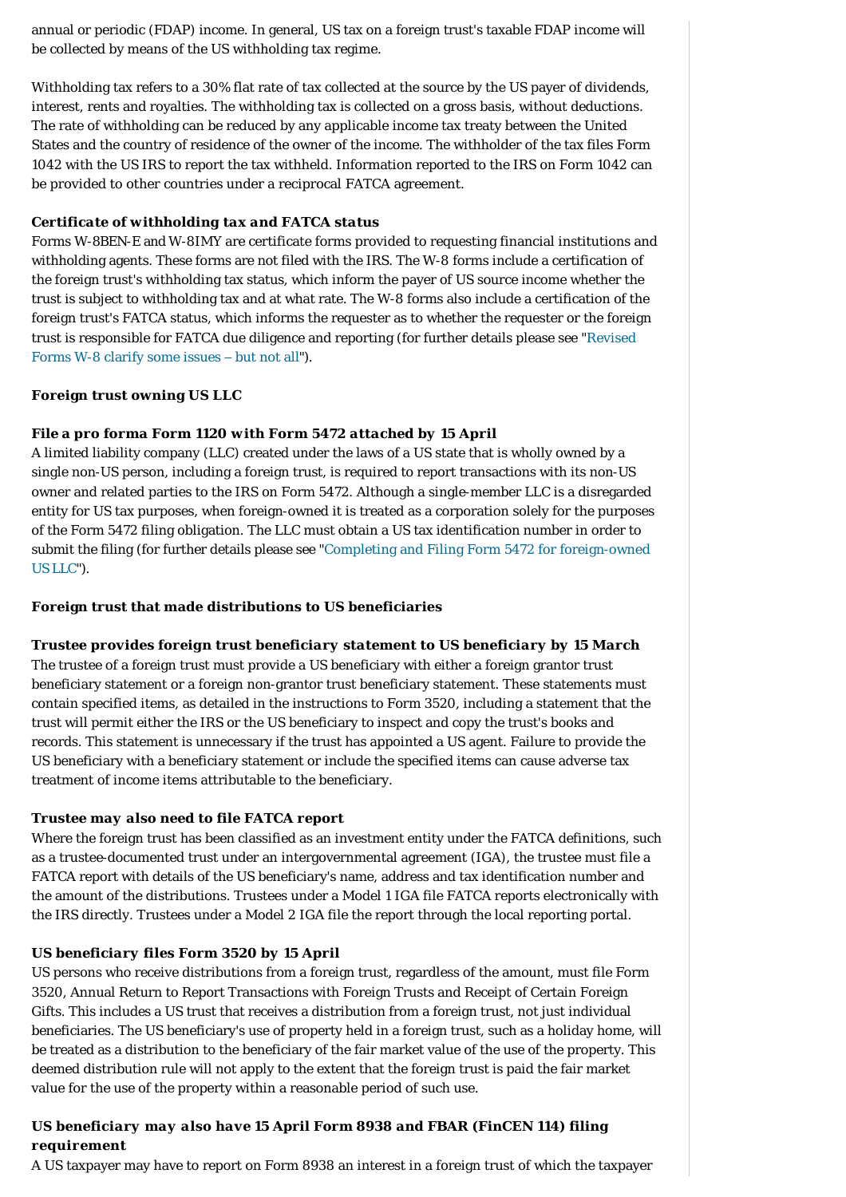annual or periodic (FDAP) income. In general, US tax on a foreign trust's taxable FDAP income will be collected by means of the US withholding tax regime.

Withholding tax refers to a 30% flat rate of tax collected at the source by the US payer of dividends, interest, rents and royalties. The withholding tax is collected on a gross basis, without deductions. The rate of withholding can be reduced by any applicable income tax treaty between the United States and the country of residence of the owner of the income. The withholder of the tax files Form 1042 with the US IRS to report the tax withheld. Information reported to the IRS on Form 1042 can be provided to other countries under a reciprocal FATCA agreement.

## *Certificate of withholding tax and FATCA status*

Forms W-8BEN-E and W-8IMY are certificate forms provided to requesting financial institutions and withholding agents. These forms are not filed with the IRS. The W-8 forms include a certification of the foreign trust's withholding tax status, which inform the payer of US source income whether the trust is subject to withholding tax and at what rate. The W-8 forms also include a certification of the foreign trust's FATCA status, which informs the requester as to whether the requester or the foreign [trust is responsible for FATCA due diligence and reporting \(for further details please see "Revised](https://www.internationallawoffice.com/gesr.ashx?l=887DHC1)  Forms W-8 clarify some issues – but not all").

## <span id="page-1-0"></span>**Foreign trust owning US LLC**

## *File a pro forma Form 1120 with Form 5472 attached by 15 April*

A limited liability company (LLC) created under the laws of a US state that is wholly owned by a single non-US person, including a foreign trust, is required to report transactions with its non-US owner and related parties to the IRS on Form 5472. Although a single-member LLC is a disregarded entity for US tax purposes, when foreign-owned it is treated as a corporation solely for the purposes of the Form 5472 filing obligation. The LLC must obtain a US tax identification number in order to [submit the filing \(for further details please see "Completing and Filing Form 5472 for foreign-owned](https://www.internationallawoffice.com/gesr.ashx?l=887DHCG)  US LLC").

#### <span id="page-1-1"></span>**Foreign trust that made distributions to US beneficiaries**

#### *Trustee provides foreign trust beneficiary statement to US beneficiary by 15 March*

The trustee of a foreign trust must provide a US beneficiary with either a foreign grantor trust beneficiary statement or a foreign non-grantor trust beneficiary statement. These statements must contain specified items, as detailed in the instructions to Form 3520, including a statement that the trust will permit either the IRS or the US beneficiary to inspect and copy the trust's books and records. This statement is unnecessary if the trust has appointed a US agent. Failure to provide the US beneficiary with a beneficiary statement or include the specified items can cause adverse tax treatment of income items attributable to the beneficiary.

#### *Trustee may also need to file FATCA report*

Where the foreign trust has been classified as an investment entity under the FATCA definitions, such as a trustee-documented trust under an intergovernmental agreement (IGA), the trustee must file a FATCA report with details of the US beneficiary's name, address and tax identification number and the amount of the distributions. Trustees under a Model 1 IGA file FATCA reports electronically with the IRS directly. Trustees under a Model 2 IGA file the report through the local reporting portal.

#### *US beneficiary files Form 3520 by 15 April*

US persons who receive distributions from a foreign trust, regardless of the amount, must file Form 3520, Annual Return to Report Transactions with Foreign Trusts and Receipt of Certain Foreign Gifts. This includes a US trust that receives a distribution from a foreign trust, not just individual beneficiaries. The US beneficiary's use of property held in a foreign trust, such as a holiday home, will be treated as a distribution to the beneficiary of the fair market value of the use of the property. This deemed distribution rule will not apply to the extent that the foreign trust is paid the fair market value for the use of the property within a reasonable period of such use.

## *US beneficiary may also have 15 April Form 8938 and FBAR (FinCEN 114) filing requirement*

A US taxpayer may have to report on Form 8938 an interest in a foreign trust of which the taxpayer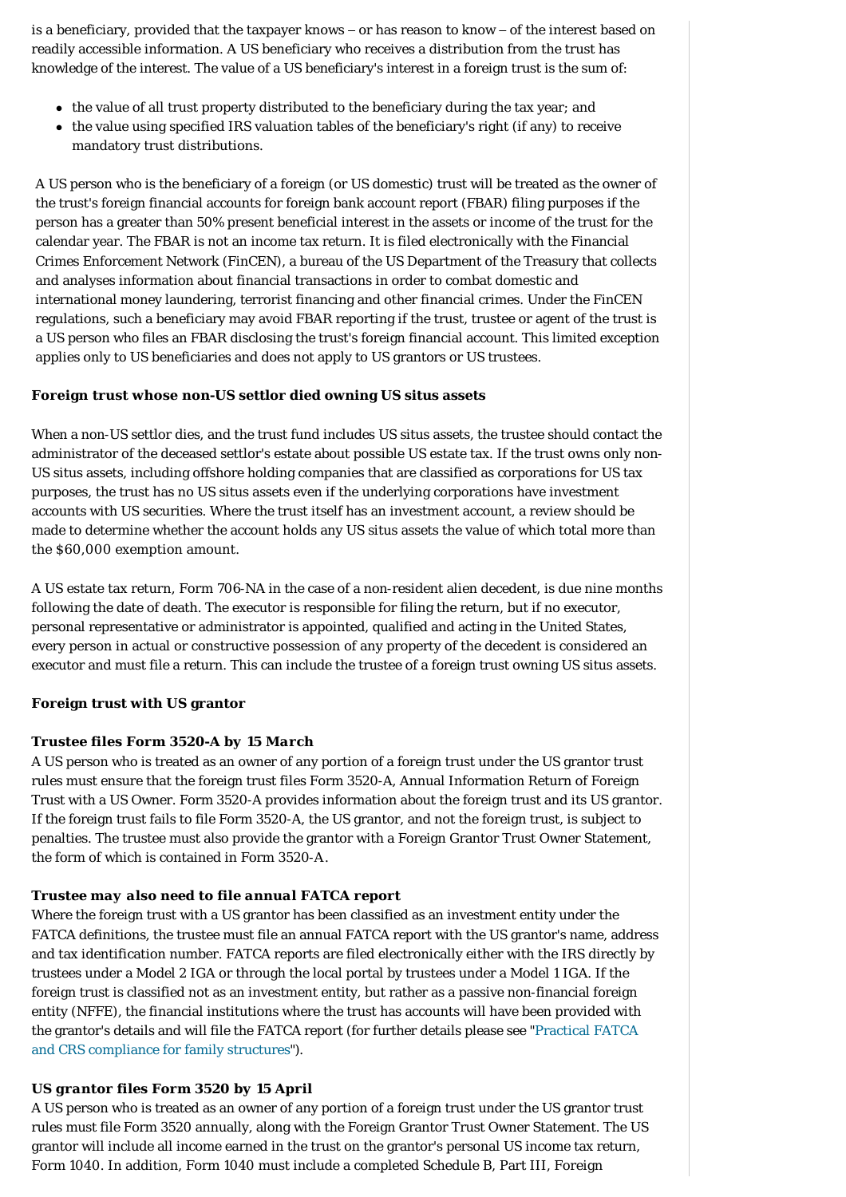is a beneficiary, provided that the taxpayer knows – or has reason to know – of the interest based on readily accessible information. A US beneficiary who receives a distribution from the trust has knowledge of the interest. The value of a US beneficiary's interest in a foreign trust is the sum of:

- the value of all trust property distributed to the beneficiary during the tax year; and
- $\bullet$  the value using specified IRS valuation tables of the beneficiary's right (if any) to receive mandatory trust distributions.

A US person who is the beneficiary of a foreign (or US domestic) trust will be treated as the owner of the trust's foreign financial accounts for foreign bank account report (FBAR) filing purposes if the person has a greater than 50% present beneficial interest in the assets or income of the trust for the calendar year. The FBAR is not an income tax return. It is filed electronically with the Financial Crimes Enforcement Network (FinCEN), a bureau of the US Department of the Treasury that collects and analyses information about financial transactions in order to combat domestic and international money laundering, terrorist financing and other financial crimes. Under the FinCEN regulations, such a beneficiary may avoid FBAR reporting if the trust, trustee or agent of the trust is a US person who files an FBAR disclosing the trust's foreign financial account. This limited exception applies only to US beneficiaries and does not apply to US grantors or US trustees.

## <span id="page-2-0"></span>**Foreign trust whose non-US settlor died owning US situs assets**

When a non-US settlor dies, and the trust fund includes US situs assets, the trustee should contact the administrator of the deceased settlor's estate about possible US estate tax. If the trust owns only non-US situs assets, including offshore holding companies that are classified as corporations for US tax purposes, the trust has no US situs assets even if the underlying corporations have investment accounts with US securities. Where the trust itself has an investment account, a review should be made to determine whether the account holds any US situs assets the value of which total more than the \$60,000 exemption amount.

A US estate tax return, Form 706-NA in the case of a non-resident alien decedent, is due nine months following the date of death. The executor is responsible for filing the return, but if no executor, personal representative or administrator is appointed, qualified and acting in the United States, every person in actual or constructive possession of any property of the decedent is considered an executor and must file a return. This can include the trustee of a foreign trust owning US situs assets.

## <span id="page-2-1"></span>**Foreign trust with US grantor**

## *Trustee files Form 3520-A by 15 March*

A US person who is treated as an owner of any portion of a foreign trust under the US grantor trust rules must ensure that the foreign trust files Form 3520-A, Annual Information Return of Foreign Trust with a US Owner. Form 3520-A provides information about the foreign trust and its US grantor. If the foreign trust fails to file Form 3520-A, the US grantor, and not the foreign trust, is subject to penalties. The trustee must also provide the grantor with a Foreign Grantor Trust Owner Statement, the form of which is contained in Form 3520-A.

## *Trustee may also need to file annual FATCA report*

Where the foreign trust with a US grantor has been classified as an investment entity under the FATCA definitions, the trustee must file an annual FATCA report with the US grantor's name, address and tax identification number. FATCA reports are filed electronically either with the IRS directly by trustees under a Model 2 IGA or through the local portal by trustees under a Model 1 IGA. If the foreign trust is classified not as an investment entity, but rather as a passive non-financial foreign entity (NFFE), the financial institutions where the trust has accounts will have been provided with [the grantor's details and will file the FATCA report \(for further details please see "Practical FATCA](https://www.internationallawoffice.com/gesr.ashx?l=887DHD0)  and CRS compliance for family structures").

#### *US grantor files Form 3520 by 15 April*

A US person who is treated as an owner of any portion of a foreign trust under the US grantor trust rules must file Form 3520 annually, along with the Foreign Grantor Trust Owner Statement. The US grantor will include all income earned in the trust on the grantor's personal US income tax return, Form 1040. In addition, Form 1040 must include a completed Schedule B, Part III, Foreign